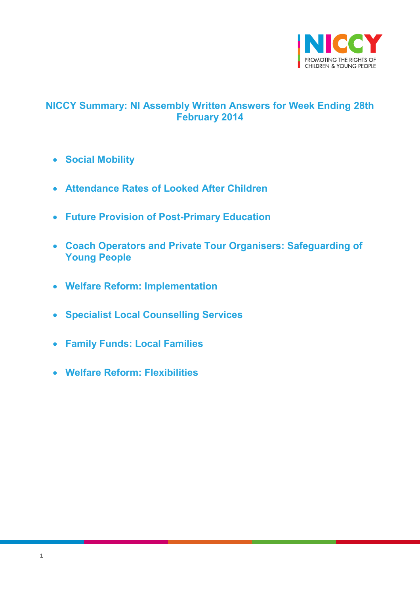

# <span id="page-0-0"></span>**NICCY Summary: NI Assembly Written Answers for Week Ending 28th February 2014**

- **[Social Mobility](#page-1-0)**
- **[Attendance Rates of Looked After Children](#page-2-0)**
- **[Future Provision of Post-Primary Education](#page-3-0)**
- **[Coach Operators and Private Tour Organisers: Safeguarding of](#page-4-0)  [Young People](#page-4-0)**
- **[Welfare Reform: Implementation](#page-5-0)**
- **[Specialist Local Counselling Services](#page-6-0)**
- **[Family Funds: Local Families](#page-7-0)**
- **[Welfare Reform: Flexibilities](#page-7-1)**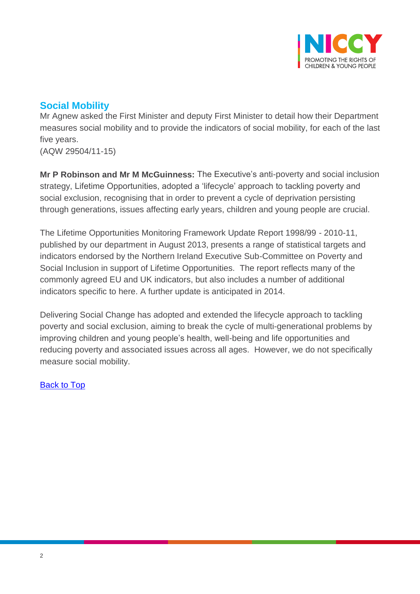

# <span id="page-1-0"></span>**Social Mobility**

Mr Agnew asked the First Minister and deputy First Minister to detail how their Department measures social mobility and to provide the indicators of social mobility, for each of the last five years.

(AQW 29504/11-15)

**Mr P Robinson and Mr M McGuinness:** The Executive's anti-poverty and social inclusion strategy, Lifetime Opportunities, adopted a 'lifecycle' approach to tackling poverty and social exclusion, recognising that in order to prevent a cycle of deprivation persisting through generations, issues affecting early years, children and young people are crucial.

The Lifetime Opportunities Monitoring Framework Update Report 1998/99 - 2010-11, published by our department in August 2013, presents a range of statistical targets and indicators endorsed by the Northern Ireland Executive Sub-Committee on Poverty and Social Inclusion in support of Lifetime Opportunities. The report reflects many of the commonly agreed EU and UK indicators, but also includes a number of additional indicators specific to here. A further update is anticipated in 2014.

Delivering Social Change has adopted and extended the lifecycle approach to tackling poverty and social exclusion, aiming to break the cycle of multi-generational problems by improving children and young people's health, well-being and life opportunities and reducing poverty and associated issues across all ages. However, we do not specifically measure social mobility.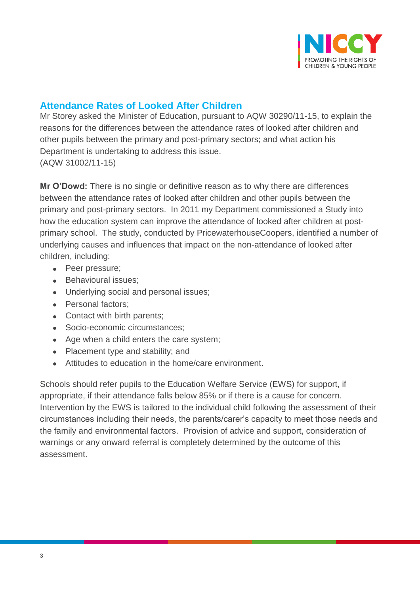

## <span id="page-2-0"></span>**Attendance Rates of Looked After Children**

Mr Storey asked the Minister of Education, pursuant to AQW 30290/11-15, to explain the reasons for the differences between the attendance rates of looked after children and other pupils between the primary and post-primary sectors; and what action his Department is undertaking to address this issue. (AQW 31002/11-15)

**Mr O'Dowd:** There is no single or definitive reason as to why there are differences between the attendance rates of looked after children and other pupils between the primary and post-primary sectors. In 2011 my Department commissioned a Study into how the education system can improve the attendance of looked after children at postprimary school. The study, conducted by PricewaterhouseCoopers, identified a number of underlying causes and influences that impact on the non-attendance of looked after children, including:

- Peer pressure;
- Behavioural issues;
- Underlying social and personal issues;
- Personal factors;
- Contact with birth parents;
- Socio-economic circumstances;
- Age when a child enters the care system;
- Placement type and stability; and
- Attitudes to education in the home/care environment.

Schools should refer pupils to the Education Welfare Service (EWS) for support, if appropriate, if their attendance falls below 85% or if there is a cause for concern. Intervention by the EWS is tailored to the individual child following the assessment of their circumstances including their needs, the parents/carer's capacity to meet those needs and the family and environmental factors. Provision of advice and support, consideration of warnings or any onward referral is completely determined by the outcome of this assessment.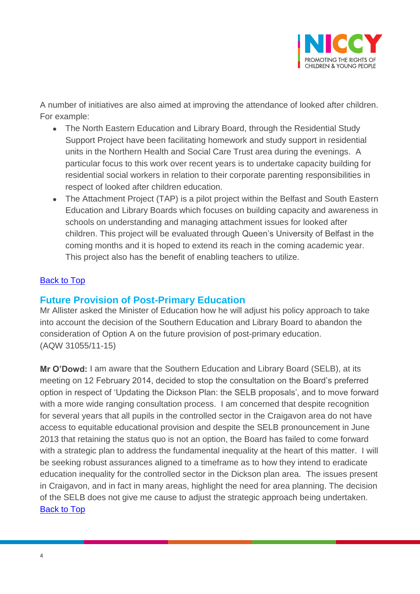

A number of initiatives are also aimed at improving the attendance of looked after children. For example:

- The North Eastern Education and Library Board, through the Residential Study Support Project have been facilitating homework and study support in residential units in the Northern Health and Social Care Trust area during the evenings. A particular focus to this work over recent years is to undertake capacity building for residential social workers in relation to their corporate parenting responsibilities in respect of looked after children education.
- The Attachment Project (TAP) is a pilot project within the Belfast and South Eastern Education and Library Boards which focuses on building capacity and awareness in schools on understanding and managing attachment issues for looked after children. This project will be evaluated through Queen's University of Belfast in the coming months and it is hoped to extend its reach in the coming academic year. This project also has the benefit of enabling teachers to utilize.

#### **[Back to Top](#page-0-0)**

### <span id="page-3-0"></span>**Future Provision of Post-Primary Education**

Mr Allister asked the Minister of Education how he will adjust his policy approach to take into account the decision of the Southern Education and Library Board to abandon the consideration of Option A on the future provision of post-primary education. (AQW 31055/11-15)

**Mr O'Dowd:** I am aware that the Southern Education and Library Board (SELB), at its meeting on 12 February 2014, decided to stop the consultation on the Board's preferred option in respect of 'Updating the Dickson Plan: the SELB proposals', and to move forward with a more wide ranging consultation process. I am concerned that despite recognition for several years that all pupils in the controlled sector in the Craigavon area do not have access to equitable educational provision and despite the SELB pronouncement in June 2013 that retaining the status quo is not an option, the Board has failed to come forward with a strategic plan to address the fundamental inequality at the heart of this matter. I will be seeking robust assurances aligned to a timeframe as to how they intend to eradicate education inequality for the controlled sector in the Dickson plan area. The issues present in Craigavon, and in fact in many areas, highlight the need for area planning. The decision of the SELB does not give me cause to adjust the strategic approach being undertaken. [Back to Top](#page-0-0)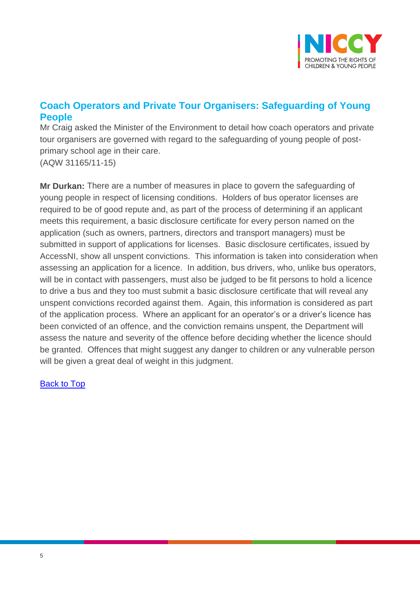

## <span id="page-4-0"></span>**Coach Operators and Private Tour Organisers: Safeguarding of Young People**

Mr Craig asked the Minister of the Environment to detail how coach operators and private tour organisers are governed with regard to the safeguarding of young people of postprimary school age in their care. (AQW 31165/11-15)

**Mr Durkan:** There are a number of measures in place to govern the safeguarding of young people in respect of licensing conditions. Holders of bus operator licenses are required to be of good repute and, as part of the process of determining if an applicant meets this requirement, a basic disclosure certificate for every person named on the application (such as owners, partners, directors and transport managers) must be submitted in support of applications for licenses. Basic disclosure certificates, issued by AccessNI, show all unspent convictions. This information is taken into consideration when assessing an application for a licence. In addition, bus drivers, who, unlike bus operators, will be in contact with passengers, must also be judged to be fit persons to hold a licence to drive a bus and they too must submit a basic disclosure certificate that will reveal any unspent convictions recorded against them. Again, this information is considered as part of the application process. Where an applicant for an operator's or a driver's licence has been convicted of an offence, and the conviction remains unspent, the Department will assess the nature and severity of the offence before deciding whether the licence should be granted. Offences that might suggest any danger to children or any vulnerable person will be given a great deal of weight in this judgment.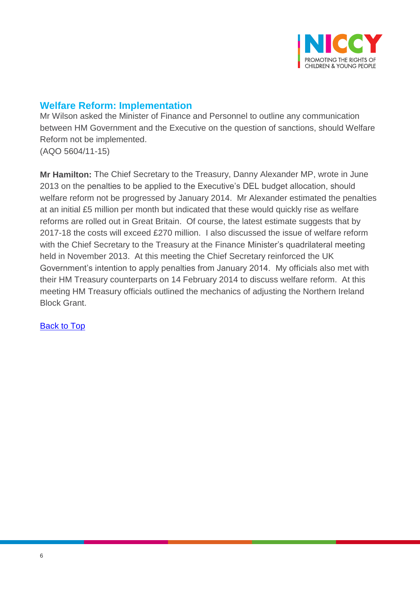

## <span id="page-5-0"></span>**Welfare Reform: Implementation**

Mr Wilson asked the Minister of Finance and Personnel to outline any communication between HM Government and the Executive on the question of sanctions, should Welfare Reform not be implemented. (AQO 5604/11-15)

**Mr Hamilton:** The Chief Secretary to the Treasury, Danny Alexander MP, wrote in June 2013 on the penalties to be applied to the Executive's DEL budget allocation, should welfare reform not be progressed by January 2014. Mr Alexander estimated the penalties at an initial £5 million per month but indicated that these would quickly rise as welfare reforms are rolled out in Great Britain. Of course, the latest estimate suggests that by 2017-18 the costs will exceed £270 million. I also discussed the issue of welfare reform with the Chief Secretary to the Treasury at the Finance Minister's quadrilateral meeting held in November 2013. At this meeting the Chief Secretary reinforced the UK Government's intention to apply penalties from January 2014. My officials also met with their HM Treasury counterparts on 14 February 2014 to discuss welfare reform. At this meeting HM Treasury officials outlined the mechanics of adjusting the Northern Ireland Block Grant.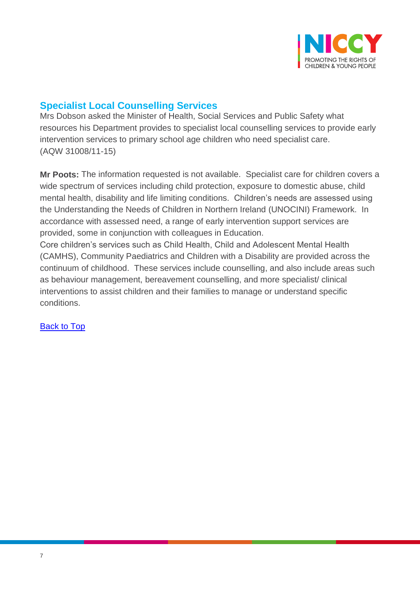

# <span id="page-6-0"></span>**Specialist Local Counselling Services**

Mrs Dobson asked the Minister of Health, Social Services and Public Safety what resources his Department provides to specialist local counselling services to provide early intervention services to primary school age children who need specialist care. (AQW 31008/11-15)

**Mr Poots:** The information requested is not available. Specialist care for children covers a wide spectrum of services including child protection, exposure to domestic abuse, child mental health, disability and life limiting conditions. Children's needs are assessed using the Understanding the Needs of Children in Northern Ireland (UNOCINI) Framework. In accordance with assessed need, a range of early intervention support services are provided, some in conjunction with colleagues in Education.

Core children's services such as Child Health, Child and Adolescent Mental Health (CAMHS), Community Paediatrics and Children with a Disability are provided across the continuum of childhood. These services include counselling, and also include areas such as behaviour management, bereavement counselling, and more specialist/ clinical interventions to assist children and their families to manage or understand specific conditions.